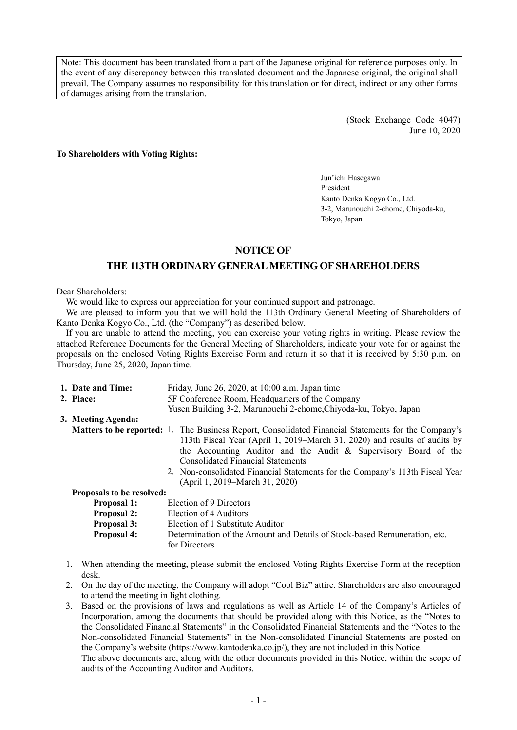Note: This document has been translated from a part of the Japanese original for reference purposes only. In the event of any discrepancy between this translated document and the Japanese original, the original shall prevail. The Company assumes no responsibility for this translation or for direct, indirect or any other forms of damages arising from the translation.

> (Stock Exchange Code 4047) June 10, 2020

#### **To Shareholders with Voting Rights:**

Jun'ichi Hasegawa President Kanto Denka Kogyo Co., Ltd. 3-2, Marunouchi 2-chome, Chiyoda-ku, Tokyo, Japan

#### **NOTICE OF**

## **THE 113TH ORDINARY GENERAL MEETING OF SHAREHOLDERS**

Dear Shareholders:

We would like to express our appreciation for your continued support and patronage.

We are pleased to inform you that we will hold the 113th Ordinary General Meeting of Shareholders of Kanto Denka Kogyo Co., Ltd. (the "Company") as described below.

If you are unable to attend the meeting, you can exercise your voting rights in writing. Please review the attached Reference Documents for the General Meeting of Shareholders, indicate your vote for or against the proposals on the enclosed Voting Rights Exercise Form and return it so that it is received by 5:30 p.m. on Thursday, June 25, 2020, Japan time.

| 1. Date and Time:         | Friday, June 26, 2020, at 10:00 a.m. Japan time                                                                                                                                         |
|---------------------------|-----------------------------------------------------------------------------------------------------------------------------------------------------------------------------------------|
| 2. Place:                 | 5F Conference Room, Headquarters of the Company                                                                                                                                         |
|                           | Yusen Building 3-2, Marunouchi 2-chome, Chiyoda-ku, Tokyo, Japan                                                                                                                        |
| 3. Meeting Agenda:        |                                                                                                                                                                                         |
|                           | <b>Matters to be reported:</b> 1. The Business Report, Consolidated Financial Statements for the Company's<br>113th Fiscal Year (April 1, 2019–March 31, 2020) and results of audits by |
|                           | the Accounting Auditor and the Audit & Supervisory Board of the<br><b>Consolidated Financial Statements</b>                                                                             |
|                           | 2. Non-consolidated Financial Statements for the Company's 113th Fiscal Year<br>(April 1, 2019–March 31, 2020)                                                                          |
| Proposals to be resolved: |                                                                                                                                                                                         |
| <b>Proposal 1:</b>        | Election of 9 Directors                                                                                                                                                                 |
| <b>Proposal 2:</b>        | Election of 4 Auditors                                                                                                                                                                  |
| <b>Proposal 3:</b>        | Election of 1 Substitute Auditor                                                                                                                                                        |
| <b>Proposal 4:</b>        | Determination of the Amount and Details of Stock-based Remuneration, etc.<br>for Directors                                                                                              |

- 1. When attending the meeting, please submit the enclosed Voting Rights Exercise Form at the reception desk.
- 2. On the day of the meeting, the Company will adopt "Cool Biz" attire. Shareholders are also encouraged to attend the meeting in light clothing.
- 3. Based on the provisions of laws and regulations as well as Article 14 of the Company's Articles of Incorporation, among the documents that should be provided along with this Notice, as the "Notes to the Consolidated Financial Statements" in the Consolidated Financial Statements and the "Notes to the Non-consolidated Financial Statements" in the Non-consolidated Financial Statements are posted on the Company's website (https://www.kantodenka.co.jp/), they are not included in this Notice.

The above documents are, along with the other documents provided in this Notice, within the scope of audits of the Accounting Auditor and Auditors.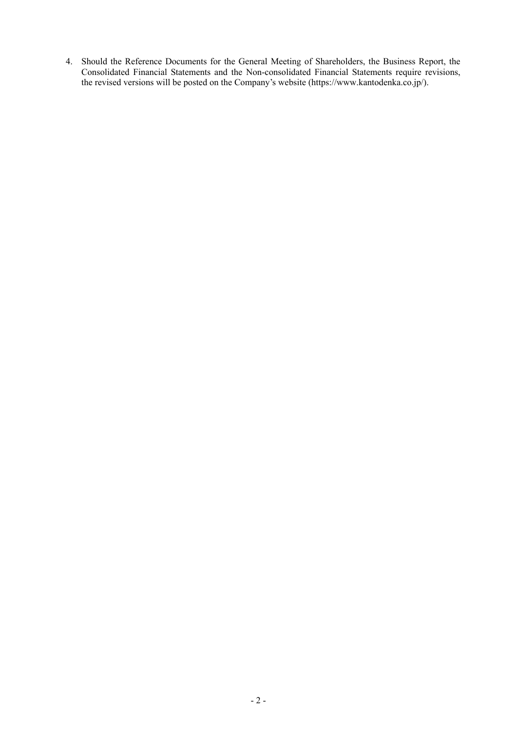4. Should the Reference Documents for the General Meeting of Shareholders, the Business Report, the Consolidated Financial Statements and the Non-consolidated Financial Statements require revisions, the revised versions will be posted on the Company's website (https://www.kantodenka.co.jp/).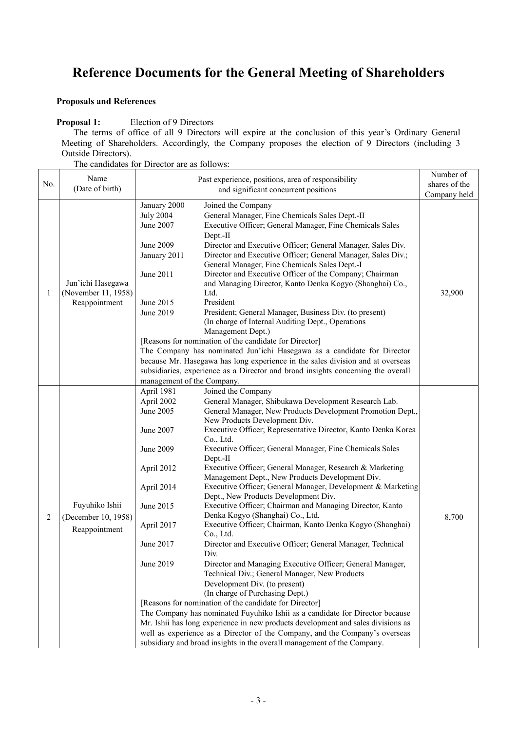# **Reference Documents for the General Meeting of Shareholders**

## **Proposals and References**

## **Proposal 1:** Election of 9 Directors

The terms of office of all 9 Directors will expire at the conclusion of this year's Ordinary General Meeting of Shareholders. Accordingly, the Company proposes the election of 9 Directors (including 3 Outside Directors).

The candidates for Director are as follows:

|     | Name                                                   | Past experience, positions, area of responsibility<br>and significant concurrent positions |                                                                                  | Number of     |
|-----|--------------------------------------------------------|--------------------------------------------------------------------------------------------|----------------------------------------------------------------------------------|---------------|
| No. | (Date of birth)                                        |                                                                                            |                                                                                  | shares of the |
|     |                                                        |                                                                                            | Company held                                                                     |               |
|     |                                                        | January 2000                                                                               | Joined the Company                                                               |               |
|     |                                                        | <b>July 2004</b>                                                                           | General Manager, Fine Chemicals Sales Dept.-II                                   |               |
|     |                                                        | June 2007                                                                                  | Executive Officer; General Manager, Fine Chemicals Sales                         |               |
|     |                                                        |                                                                                            | Dept.-II                                                                         |               |
|     |                                                        | June 2009                                                                                  | Director and Executive Officer; General Manager, Sales Div.                      |               |
|     |                                                        | January 2011                                                                               | Director and Executive Officer; General Manager, Sales Div.;                     |               |
|     |                                                        |                                                                                            | General Manager, Fine Chemicals Sales Dept.-I                                    |               |
|     |                                                        | June 2011                                                                                  | Director and Executive Officer of the Company; Chairman                          |               |
|     | Jun'ichi Hasegawa                                      |                                                                                            | and Managing Director, Kanto Denka Kogyo (Shanghai) Co.,                         |               |
| 1   | (November 11, 1958)                                    |                                                                                            | Ltd.                                                                             | 32,900        |
|     | Reappointment                                          | June 2015                                                                                  | President                                                                        |               |
|     |                                                        | June 2019                                                                                  | President; General Manager, Business Div. (to present)                           |               |
|     |                                                        |                                                                                            | (In charge of Internal Auditing Dept., Operations                                |               |
|     |                                                        |                                                                                            | Management Dept.)                                                                |               |
|     |                                                        |                                                                                            | [Reasons for nomination of the candidate for Director]                           |               |
|     |                                                        |                                                                                            | The Company has nominated Jun'ichi Hasegawa as a candidate for Director          |               |
|     |                                                        |                                                                                            | because Mr. Hasegawa has long experience in the sales division and at overseas   |               |
|     |                                                        |                                                                                            | subsidiaries, experience as a Director and broad insights concerning the overall |               |
|     |                                                        | management of the Company.                                                                 |                                                                                  |               |
|     |                                                        | April 1981                                                                                 | Joined the Company                                                               |               |
|     |                                                        | April 2002                                                                                 | General Manager, Shibukawa Development Research Lab.                             |               |
|     |                                                        | June 2005                                                                                  | General Manager, New Products Development Promotion Dept.,                       |               |
|     | Fuyuhiko Ishii<br>(December 10, 1958)<br>Reappointment |                                                                                            | New Products Development Div.                                                    |               |
|     |                                                        | June 2007                                                                                  | Executive Officer; Representative Director, Kanto Denka Korea                    |               |
|     |                                                        |                                                                                            | Co., Ltd.                                                                        |               |
|     |                                                        | June 2009                                                                                  | Executive Officer; General Manager, Fine Chemicals Sales                         |               |
|     |                                                        |                                                                                            | Dept.-II                                                                         |               |
|     |                                                        | April 2012                                                                                 | Executive Officer; General Manager, Research & Marketing                         |               |
|     |                                                        |                                                                                            | Management Dept., New Products Development Div.                                  |               |
|     |                                                        | April 2014                                                                                 | Executive Officer; General Manager, Development & Marketing                      |               |
|     |                                                        |                                                                                            | Dept., New Products Development Div.                                             |               |
|     |                                                        | June 2015                                                                                  | Executive Officer; Chairman and Managing Director, Kanto                         |               |
| 2   |                                                        |                                                                                            | Denka Kogyo (Shanghai) Co., Ltd.                                                 | 8,700         |
|     |                                                        | April 2017                                                                                 | Executive Officer; Chairman, Kanto Denka Kogyo (Shanghai)                        |               |
|     |                                                        |                                                                                            | Co., Ltd.                                                                        |               |
|     |                                                        | June 2017                                                                                  | Director and Executive Officer; General Manager, Technical                       |               |
|     |                                                        |                                                                                            | Div.                                                                             |               |
|     |                                                        | June 2019                                                                                  | Director and Managing Executive Officer; General Manager,                        |               |
|     |                                                        |                                                                                            | Technical Div.; General Manager, New Products                                    |               |
|     |                                                        |                                                                                            | Development Div. (to present)                                                    |               |
|     |                                                        |                                                                                            | (In charge of Purchasing Dept.)                                                  |               |
|     |                                                        |                                                                                            | [Reasons for nomination of the candidate for Director]                           |               |
|     |                                                        |                                                                                            | The Company has nominated Fuyuhiko Ishii as a candidate for Director because     |               |
|     |                                                        |                                                                                            | Mr. Ishii has long experience in new products development and sales divisions as |               |
|     |                                                        |                                                                                            | well as experience as a Director of the Company, and the Company's overseas      |               |
|     |                                                        |                                                                                            | subsidiary and broad insights in the overall management of the Company.          |               |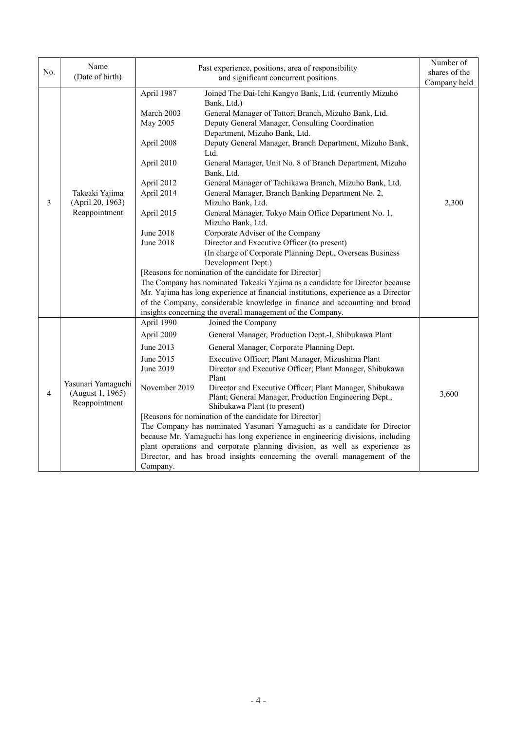| No. | Name<br>(Date of birth)                                 | Past experience, positions, area of responsibility<br>and significant concurrent positions                                                         |                                                                                                                                                                                                                                                                                                                                                                                                                                                                                                                                                                                                                                                                                                                                                                                                                                                                                                                                                                                                                                                                                                                                    | Number of<br>shares of the<br>Company held |
|-----|---------------------------------------------------------|----------------------------------------------------------------------------------------------------------------------------------------------------|------------------------------------------------------------------------------------------------------------------------------------------------------------------------------------------------------------------------------------------------------------------------------------------------------------------------------------------------------------------------------------------------------------------------------------------------------------------------------------------------------------------------------------------------------------------------------------------------------------------------------------------------------------------------------------------------------------------------------------------------------------------------------------------------------------------------------------------------------------------------------------------------------------------------------------------------------------------------------------------------------------------------------------------------------------------------------------------------------------------------------------|--------------------------------------------|
| 3   | Takeaki Yajima<br>(April 20, 1963)<br>Reappointment     | April 1987<br>March 2003<br>May 2005<br>April 2008<br>April 2010<br>April 2012<br>April 2014<br>April 2015<br><b>June 2018</b><br><b>June 2018</b> | Joined The Dai-Ichi Kangyo Bank, Ltd. (currently Mizuho<br>Bank, Ltd.)<br>General Manager of Tottori Branch, Mizuho Bank, Ltd.<br>Deputy General Manager, Consulting Coordination<br>Department, Mizuho Bank, Ltd.<br>Deputy General Manager, Branch Department, Mizuho Bank,<br>Ltd.<br>General Manager, Unit No. 8 of Branch Department, Mizuho<br>Bank, Ltd.<br>General Manager of Tachikawa Branch, Mizuho Bank, Ltd.<br>General Manager, Branch Banking Department No. 2,<br>Mizuho Bank, Ltd.<br>General Manager, Tokyo Main Office Department No. 1,<br>Mizuho Bank, Ltd.<br>Corporate Adviser of the Company<br>Director and Executive Officer (to present)<br>(In charge of Corporate Planning Dept., Overseas Business<br>Development Dept.)<br>[Reasons for nomination of the candidate for Director]<br>The Company has nominated Takeaki Yajima as a candidate for Director because<br>Mr. Yajima has long experience at financial institutions, experience as a Director<br>of the Company, considerable knowledge in finance and accounting and broad<br>insights concerning the overall management of the Company. | 2,300                                      |
| 4   | Yasunari Yamaguchi<br>(August 1, 1965)<br>Reappointment | April 1990<br>April 2009<br>June 2013<br>June 2015<br>June 2019<br>November 2019<br>Company.                                                       | Joined the Company<br>General Manager, Production Dept.-I, Shibukawa Plant<br>General Manager, Corporate Planning Dept.<br>Executive Officer; Plant Manager, Mizushima Plant<br>Director and Executive Officer; Plant Manager, Shibukawa<br>Plant<br>Director and Executive Officer; Plant Manager, Shibukawa<br>Plant; General Manager, Production Engineering Dept.,<br>Shibukawa Plant (to present)<br>[Reasons for nomination of the candidate for Director]<br>The Company has nominated Yasunari Yamaguchi as a candidate for Director<br>because Mr. Yamaguchi has long experience in engineering divisions, including<br>plant operations and corporate planning division, as well as experience as<br>Director, and has broad insights concerning the overall management of the                                                                                                                                                                                                                                                                                                                                           | 3,600                                      |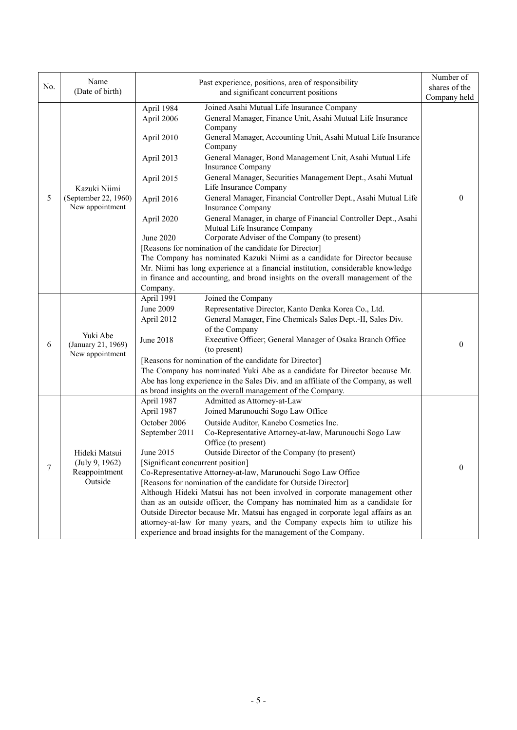|     | Name                                              |                                                    |                                                                                                  | Number of     |  |
|-----|---------------------------------------------------|----------------------------------------------------|--------------------------------------------------------------------------------------------------|---------------|--|
| No. | (Date of birth)                                   | Past experience, positions, area of responsibility |                                                                                                  | shares of the |  |
|     |                                                   | and significant concurrent positions               |                                                                                                  | Company held  |  |
|     |                                                   | April 1984                                         | Joined Asahi Mutual Life Insurance Company                                                       |               |  |
|     |                                                   | April 2006                                         | General Manager, Finance Unit, Asahi Mutual Life Insurance<br>Company                            |               |  |
|     |                                                   | April 2010                                         | General Manager, Accounting Unit, Asahi Mutual Life Insurance<br>Company                         |               |  |
|     |                                                   | April 2013                                         | General Manager, Bond Management Unit, Asahi Mutual Life<br><b>Insurance Company</b>             |               |  |
|     | Kazuki Niimi                                      | April 2015                                         | General Manager, Securities Management Dept., Asahi Mutual<br>Life Insurance Company             |               |  |
| 5   | (September 22, 1960)<br>New appointment           | April 2016                                         | General Manager, Financial Controller Dept., Asahi Mutual Life<br><b>Insurance Company</b>       | $\theta$      |  |
|     |                                                   | April 2020                                         | General Manager, in charge of Financial Controller Dept., Asahi<br>Mutual Life Insurance Company |               |  |
|     |                                                   | June 2020                                          | Corporate Adviser of the Company (to present)                                                    |               |  |
|     |                                                   |                                                    | [Reasons for nomination of the candidate for Director]                                           |               |  |
|     |                                                   |                                                    | The Company has nominated Kazuki Niimi as a candidate for Director because                       |               |  |
|     |                                                   |                                                    | Mr. Niimi has long experience at a financial institution, considerable knowledge                 |               |  |
|     |                                                   |                                                    | in finance and accounting, and broad insights on the overall management of the                   |               |  |
|     |                                                   | Company.                                           |                                                                                                  |               |  |
|     | Yuki Abe<br>(January 21, 1969)<br>New appointment | April 1991                                         | Joined the Company                                                                               |               |  |
|     |                                                   | June 2009                                          | Representative Director, Kanto Denka Korea Co., Ltd.                                             |               |  |
|     |                                                   | April 2012                                         | General Manager, Fine Chemicals Sales Dept.-II, Sales Div.<br>of the Company                     |               |  |
| 6   |                                                   | June 2018                                          | Executive Officer; General Manager of Osaka Branch Office                                        | $\mathbf{0}$  |  |
|     |                                                   |                                                    | (to present)                                                                                     |               |  |
|     |                                                   |                                                    | [Reasons for nomination of the candidate for Director]                                           |               |  |
|     |                                                   |                                                    | The Company has nominated Yuki Abe as a candidate for Director because Mr.                       |               |  |
|     |                                                   |                                                    | Abe has long experience in the Sales Div. and an affiliate of the Company, as well               |               |  |
|     |                                                   | April 1987                                         | as broad insights on the overall management of the Company.<br>Admitted as Attorney-at-Law       |               |  |
|     |                                                   | April 1987                                         | Joined Marunouchi Sogo Law Office                                                                |               |  |
|     |                                                   | October 2006                                       | Outside Auditor, Kanebo Cosmetics Inc.                                                           |               |  |
|     |                                                   | September 2011                                     | Co-Representative Attorney-at-law, Marunouchi Sogo Law                                           |               |  |
|     |                                                   |                                                    | Office (to present)                                                                              |               |  |
|     | Hideki Matsui                                     | June 2015                                          | Outside Director of the Company (to present)                                                     |               |  |
|     | (July 9, 1962)                                    | [Significant concurrent position]                  |                                                                                                  |               |  |
| 7   | Reappointment                                     |                                                    | Co-Representative Attorney-at-law, Marunouchi Sogo Law Office                                    | $\theta$      |  |
|     | Outside                                           |                                                    | [Reasons for nomination of the candidate for Outside Director]                                   |               |  |
|     |                                                   |                                                    | Although Hideki Matsui has not been involved in corporate management other                       |               |  |
|     |                                                   |                                                    | than as an outside officer, the Company has nominated him as a candidate for                     |               |  |
|     |                                                   |                                                    | Outside Director because Mr. Matsui has engaged in corporate legal affairs as an                 |               |  |
|     |                                                   |                                                    | attorney-at-law for many years, and the Company expects him to utilize his                       |               |  |
|     |                                                   |                                                    | experience and broad insights for the management of the Company.                                 |               |  |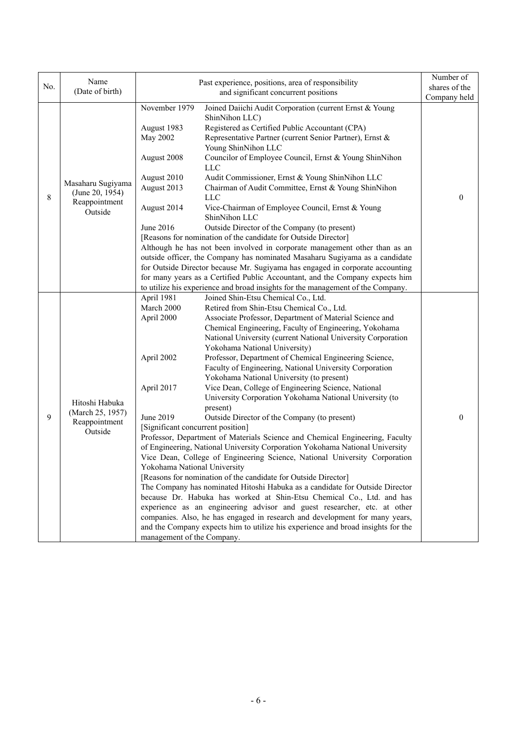| No. | Name<br>(Date of birth)                                          | Past experience, positions, area of responsibility<br>and significant concurrent positions                                                                                                                                                                                                                                                                                                                                                                                                                                                                                                                                                                                                                                                                                                                                                                                                                                                                                                                                                                                                                                                                                                                                                                                                                                                                                                                                                                                                                                                                           | Number of<br>shares of the<br>Company held |
|-----|------------------------------------------------------------------|----------------------------------------------------------------------------------------------------------------------------------------------------------------------------------------------------------------------------------------------------------------------------------------------------------------------------------------------------------------------------------------------------------------------------------------------------------------------------------------------------------------------------------------------------------------------------------------------------------------------------------------------------------------------------------------------------------------------------------------------------------------------------------------------------------------------------------------------------------------------------------------------------------------------------------------------------------------------------------------------------------------------------------------------------------------------------------------------------------------------------------------------------------------------------------------------------------------------------------------------------------------------------------------------------------------------------------------------------------------------------------------------------------------------------------------------------------------------------------------------------------------------------------------------------------------------|--------------------------------------------|
| 8   | Masaharu Sugiyama<br>(June 20, 1954)<br>Reappointment<br>Outside | November 1979<br>Joined Daiichi Audit Corporation (current Ernst & Young<br>ShinNihon LLC)<br>Registered as Certified Public Accountant (CPA)<br>August 1983<br><b>May 2002</b><br>Representative Partner (current Senior Partner), Ernst &<br>Young ShinNihon LLC<br>Councilor of Employee Council, Ernst & Young ShinNihon<br>August 2008<br>${\rm LLC}$<br>August 2010<br>Audit Commissioner, Ernst & Young ShinNihon LLC<br>August 2013<br>Chairman of Audit Committee, Ernst & Young ShinNihon<br><b>LLC</b><br>Vice-Chairman of Employee Council, Ernst & Young<br>August 2014<br>ShinNihon LLC<br>June 2016<br>Outside Director of the Company (to present)<br>[Reasons for nomination of the candidate for Outside Director]<br>Although he has not been involved in corporate management other than as an<br>outside officer, the Company has nominated Masaharu Sugiyama as a candidate<br>for Outside Director because Mr. Sugiyama has engaged in corporate accounting<br>for many years as a Certified Public Accountant, and the Company expects him<br>to utilize his experience and broad insights for the management of the Company.                                                                                                                                                                                                                                                                                                                                                                                                                | $\theta$                                   |
| 9   | Hitoshi Habuka<br>(March 25, 1957)<br>Reappointment<br>Outside   | Joined Shin-Etsu Chemical Co., Ltd.<br>April 1981<br>March 2000<br>Retired from Shin-Etsu Chemical Co., Ltd.<br>April 2000<br>Associate Professor, Department of Material Science and<br>Chemical Engineering, Faculty of Engineering, Yokohama<br>National University (current National University Corporation<br>Yokohama National University)<br>Professor, Department of Chemical Engineering Science,<br>April 2002<br>Faculty of Engineering, National University Corporation<br>Yokohama National University (to present)<br>April 2017<br>Vice Dean, College of Engineering Science, National<br>University Corporation Yokohama National University (to<br>present)<br>June 2019<br>Outside Director of the Company (to present)<br>[Significant concurrent position]<br>Professor, Department of Materials Science and Chemical Engineering, Faculty<br>of Engineering, National University Corporation Yokohama National University<br>Vice Dean, College of Engineering Science, National University Corporation<br>Yokohama National University<br>[Reasons for nomination of the candidate for Outside Director]<br>The Company has nominated Hitoshi Habuka as a candidate for Outside Director<br>because Dr. Habuka has worked at Shin-Etsu Chemical Co., Ltd. and has<br>experience as an engineering advisor and guest researcher, etc. at other<br>companies. Also, he has engaged in research and development for many years,<br>and the Company expects him to utilize his experience and broad insights for the<br>management of the Company. | $\boldsymbol{0}$                           |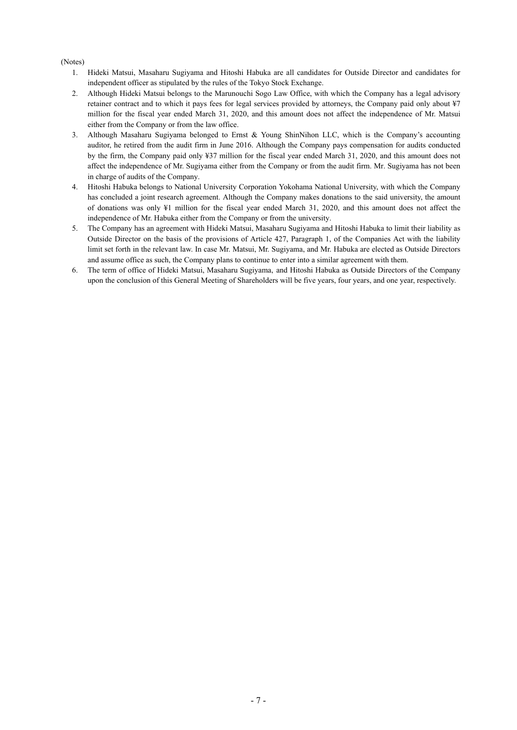#### (Notes)

- 1. Hideki Matsui, Masaharu Sugiyama and Hitoshi Habuka are all candidates for Outside Director and candidates for independent officer as stipulated by the rules of the Tokyo Stock Exchange.
- 2. Although Hideki Matsui belongs to the Marunouchi Sogo Law Office, with which the Company has a legal advisory retainer contract and to which it pays fees for legal services provided by attorneys, the Company paid only about ¥7 million for the fiscal year ended March 31, 2020, and this amount does not affect the independence of Mr. Matsui either from the Company or from the law office.
- 3. Although Masaharu Sugiyama belonged to Ernst & Young ShinNihon LLC, which is the Company's accounting auditor, he retired from the audit firm in June 2016. Although the Company pays compensation for audits conducted by the firm, the Company paid only ¥37 million for the fiscal year ended March 31, 2020, and this amount does not affect the independence of Mr. Sugiyama either from the Company or from the audit firm. Mr. Sugiyama has not been in charge of audits of the Company.
- 4. Hitoshi Habuka belongs to National University Corporation Yokohama National University, with which the Company has concluded a joint research agreement. Although the Company makes donations to the said university, the amount of donations was only ¥1 million for the fiscal year ended March 31, 2020, and this amount does not affect the independence of Mr. Habuka either from the Company or from the university.
- 5. The Company has an agreement with Hideki Matsui, Masaharu Sugiyama and Hitoshi Habuka to limit their liability as Outside Director on the basis of the provisions of Article 427, Paragraph 1, of the Companies Act with the liability limit set forth in the relevant law. In case Mr. Matsui, Mr. Sugiyama, and Mr. Habuka are elected as Outside Directors and assume office as such, the Company plans to continue to enter into a similar agreement with them.
- 6. The term of office of Hideki Matsui, Masaharu Sugiyama, and Hitoshi Habuka as Outside Directors of the Company upon the conclusion of this General Meeting of Shareholders will be five years, four years, and one year, respectively.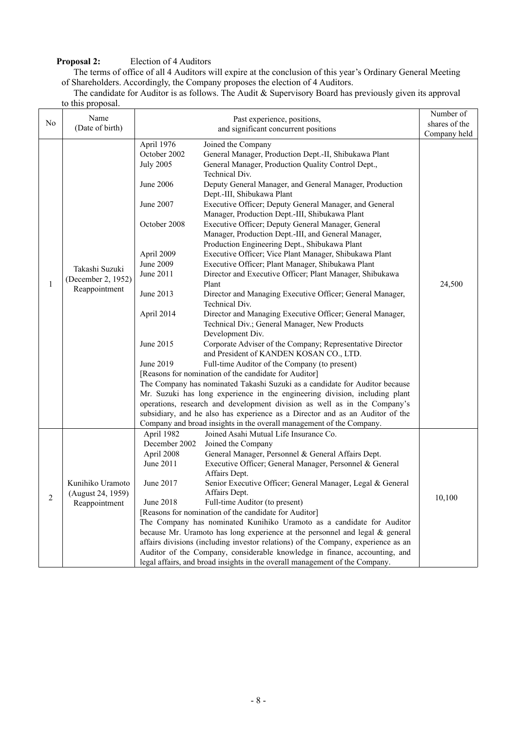# **Proposal 2:** Election of 4 Auditors

The terms of office of all 4 Auditors will expire at the conclusion of this year's Ordinary General Meeting of Shareholders. Accordingly, the Company proposes the election of 4 Auditors.

The candidate for Auditor is as follows. The Audit & Supervisory Board has previously given its approval to this proposal.

|                | Name                                                   |                                                                                  |                                                                                                                                                                                                                                                                                                                                                                                                                                                                                                                                                                                                                                                                                                                                                                                                                                                                                                                                                                  | Number of     |
|----------------|--------------------------------------------------------|----------------------------------------------------------------------------------|------------------------------------------------------------------------------------------------------------------------------------------------------------------------------------------------------------------------------------------------------------------------------------------------------------------------------------------------------------------------------------------------------------------------------------------------------------------------------------------------------------------------------------------------------------------------------------------------------------------------------------------------------------------------------------------------------------------------------------------------------------------------------------------------------------------------------------------------------------------------------------------------------------------------------------------------------------------|---------------|
| No             | (Date of birth)                                        | Past experience, positions,                                                      |                                                                                                                                                                                                                                                                                                                                                                                                                                                                                                                                                                                                                                                                                                                                                                                                                                                                                                                                                                  | shares of the |
|                |                                                        | and significant concurrent positions                                             |                                                                                                                                                                                                                                                                                                                                                                                                                                                                                                                                                                                                                                                                                                                                                                                                                                                                                                                                                                  | Company held  |
|                |                                                        | April 1976                                                                       | Joined the Company                                                                                                                                                                                                                                                                                                                                                                                                                                                                                                                                                                                                                                                                                                                                                                                                                                                                                                                                               |               |
|                |                                                        | October 2002                                                                     | General Manager, Production Dept.-II, Shibukawa Plant                                                                                                                                                                                                                                                                                                                                                                                                                                                                                                                                                                                                                                                                                                                                                                                                                                                                                                            |               |
|                |                                                        | <b>July 2005</b>                                                                 | General Manager, Production Quality Control Dept.,                                                                                                                                                                                                                                                                                                                                                                                                                                                                                                                                                                                                                                                                                                                                                                                                                                                                                                               |               |
|                |                                                        |                                                                                  | Technical Div.                                                                                                                                                                                                                                                                                                                                                                                                                                                                                                                                                                                                                                                                                                                                                                                                                                                                                                                                                   |               |
|                |                                                        | June 2006                                                                        | Deputy General Manager, and General Manager, Production                                                                                                                                                                                                                                                                                                                                                                                                                                                                                                                                                                                                                                                                                                                                                                                                                                                                                                          |               |
|                |                                                        |                                                                                  | Dept.-III, Shibukawa Plant                                                                                                                                                                                                                                                                                                                                                                                                                                                                                                                                                                                                                                                                                                                                                                                                                                                                                                                                       |               |
|                |                                                        | June 2007                                                                        | Executive Officer; Deputy General Manager, and General                                                                                                                                                                                                                                                                                                                                                                                                                                                                                                                                                                                                                                                                                                                                                                                                                                                                                                           |               |
|                |                                                        |                                                                                  | Manager, Production Dept.-III, Shibukawa Plant                                                                                                                                                                                                                                                                                                                                                                                                                                                                                                                                                                                                                                                                                                                                                                                                                                                                                                                   |               |
|                |                                                        | October 2008                                                                     | Executive Officer; Deputy General Manager, General                                                                                                                                                                                                                                                                                                                                                                                                                                                                                                                                                                                                                                                                                                                                                                                                                                                                                                               |               |
|                |                                                        |                                                                                  | Manager, Production Dept.-III, and General Manager,                                                                                                                                                                                                                                                                                                                                                                                                                                                                                                                                                                                                                                                                                                                                                                                                                                                                                                              |               |
|                |                                                        |                                                                                  | Production Engineering Dept., Shibukawa Plant                                                                                                                                                                                                                                                                                                                                                                                                                                                                                                                                                                                                                                                                                                                                                                                                                                                                                                                    |               |
|                |                                                        | April 2009                                                                       | Executive Officer; Vice Plant Manager, Shibukawa Plant                                                                                                                                                                                                                                                                                                                                                                                                                                                                                                                                                                                                                                                                                                                                                                                                                                                                                                           |               |
|                |                                                        | June 2009                                                                        | Executive Officer; Plant Manager, Shibukawa Plant                                                                                                                                                                                                                                                                                                                                                                                                                                                                                                                                                                                                                                                                                                                                                                                                                                                                                                                |               |
|                | Takashi Suzuki                                         | June 2011                                                                        | Director and Executive Officer; Plant Manager, Shibukawa                                                                                                                                                                                                                                                                                                                                                                                                                                                                                                                                                                                                                                                                                                                                                                                                                                                                                                         |               |
| 1              | (December 2, 1952)                                     |                                                                                  | Plant                                                                                                                                                                                                                                                                                                                                                                                                                                                                                                                                                                                                                                                                                                                                                                                                                                                                                                                                                            | 24,500        |
|                | Reappointment                                          | June 2013                                                                        | Director and Managing Executive Officer; General Manager,                                                                                                                                                                                                                                                                                                                                                                                                                                                                                                                                                                                                                                                                                                                                                                                                                                                                                                        |               |
|                |                                                        |                                                                                  | Technical Div.                                                                                                                                                                                                                                                                                                                                                                                                                                                                                                                                                                                                                                                                                                                                                                                                                                                                                                                                                   |               |
|                |                                                        | April 2014                                                                       | Director and Managing Executive Officer; General Manager,                                                                                                                                                                                                                                                                                                                                                                                                                                                                                                                                                                                                                                                                                                                                                                                                                                                                                                        |               |
|                |                                                        |                                                                                  | Technical Div.; General Manager, New Products                                                                                                                                                                                                                                                                                                                                                                                                                                                                                                                                                                                                                                                                                                                                                                                                                                                                                                                    |               |
|                |                                                        |                                                                                  | Development Div.                                                                                                                                                                                                                                                                                                                                                                                                                                                                                                                                                                                                                                                                                                                                                                                                                                                                                                                                                 |               |
|                |                                                        | June 2015                                                                        | Corporate Adviser of the Company; Representative Director                                                                                                                                                                                                                                                                                                                                                                                                                                                                                                                                                                                                                                                                                                                                                                                                                                                                                                        |               |
|                |                                                        |                                                                                  | and President of KANDEN KOSAN CO., LTD.                                                                                                                                                                                                                                                                                                                                                                                                                                                                                                                                                                                                                                                                                                                                                                                                                                                                                                                          |               |
|                |                                                        | June 2019                                                                        | Full-time Auditor of the Company (to present)                                                                                                                                                                                                                                                                                                                                                                                                                                                                                                                                                                                                                                                                                                                                                                                                                                                                                                                    |               |
|                |                                                        | [Reasons for nomination of the candidate for Auditor]                            |                                                                                                                                                                                                                                                                                                                                                                                                                                                                                                                                                                                                                                                                                                                                                                                                                                                                                                                                                                  |               |
|                |                                                        | The Company has nominated Takashi Suzuki as a candidate for Auditor because      |                                                                                                                                                                                                                                                                                                                                                                                                                                                                                                                                                                                                                                                                                                                                                                                                                                                                                                                                                                  |               |
|                |                                                        | Mr. Suzuki has long experience in the engineering division, including plant      |                                                                                                                                                                                                                                                                                                                                                                                                                                                                                                                                                                                                                                                                                                                                                                                                                                                                                                                                                                  |               |
|                |                                                        |                                                                                  |                                                                                                                                                                                                                                                                                                                                                                                                                                                                                                                                                                                                                                                                                                                                                                                                                                                                                                                                                                  |               |
|                |                                                        |                                                                                  |                                                                                                                                                                                                                                                                                                                                                                                                                                                                                                                                                                                                                                                                                                                                                                                                                                                                                                                                                                  |               |
|                |                                                        |                                                                                  |                                                                                                                                                                                                                                                                                                                                                                                                                                                                                                                                                                                                                                                                                                                                                                                                                                                                                                                                                                  |               |
|                |                                                        |                                                                                  |                                                                                                                                                                                                                                                                                                                                                                                                                                                                                                                                                                                                                                                                                                                                                                                                                                                                                                                                                                  |               |
|                |                                                        |                                                                                  |                                                                                                                                                                                                                                                                                                                                                                                                                                                                                                                                                                                                                                                                                                                                                                                                                                                                                                                                                                  |               |
|                |                                                        |                                                                                  |                                                                                                                                                                                                                                                                                                                                                                                                                                                                                                                                                                                                                                                                                                                                                                                                                                                                                                                                                                  |               |
|                |                                                        |                                                                                  |                                                                                                                                                                                                                                                                                                                                                                                                                                                                                                                                                                                                                                                                                                                                                                                                                                                                                                                                                                  |               |
|                |                                                        |                                                                                  |                                                                                                                                                                                                                                                                                                                                                                                                                                                                                                                                                                                                                                                                                                                                                                                                                                                                                                                                                                  |               |
|                |                                                        |                                                                                  |                                                                                                                                                                                                                                                                                                                                                                                                                                                                                                                                                                                                                                                                                                                                                                                                                                                                                                                                                                  |               |
|                |                                                        |                                                                                  |                                                                                                                                                                                                                                                                                                                                                                                                                                                                                                                                                                                                                                                                                                                                                                                                                                                                                                                                                                  |               |
|                |                                                        |                                                                                  |                                                                                                                                                                                                                                                                                                                                                                                                                                                                                                                                                                                                                                                                                                                                                                                                                                                                                                                                                                  |               |
|                |                                                        | [Reasons for nomination of the candidate for Auditor]                            |                                                                                                                                                                                                                                                                                                                                                                                                                                                                                                                                                                                                                                                                                                                                                                                                                                                                                                                                                                  |               |
|                |                                                        |                                                                                  |                                                                                                                                                                                                                                                                                                                                                                                                                                                                                                                                                                                                                                                                                                                                                                                                                                                                                                                                                                  |               |
|                |                                                        |                                                                                  |                                                                                                                                                                                                                                                                                                                                                                                                                                                                                                                                                                                                                                                                                                                                                                                                                                                                                                                                                                  |               |
|                |                                                        |                                                                                  |                                                                                                                                                                                                                                                                                                                                                                                                                                                                                                                                                                                                                                                                                                                                                                                                                                                                                                                                                                  |               |
|                |                                                        |                                                                                  |                                                                                                                                                                                                                                                                                                                                                                                                                                                                                                                                                                                                                                                                                                                                                                                                                                                                                                                                                                  |               |
| $\overline{2}$ | Kunihiko Uramoto<br>(August 24, 1959)<br>Reappointment | April 1982<br>December 2002<br>April 2008<br>June 2011<br>June 2017<br>June 2018 | operations, research and development division as well as in the Company's<br>subsidiary, and he also has experience as a Director and as an Auditor of the<br>Company and broad insights in the overall management of the Company.<br>Joined Asahi Mutual Life Insurance Co.<br>Joined the Company<br>General Manager, Personnel & General Affairs Dept.<br>Executive Officer; General Manager, Personnel & General<br>Affairs Dept.<br>Senior Executive Officer; General Manager, Legal & General<br>Affairs Dept.<br>Full-time Auditor (to present)<br>The Company has nominated Kunihiko Uramoto as a candidate for Auditor<br>because Mr. Uramoto has long experience at the personnel and legal & general<br>affairs divisions (including investor relations) of the Company, experience as an<br>Auditor of the Company, considerable knowledge in finance, accounting, and<br>legal affairs, and broad insights in the overall management of the Company. | 10,100        |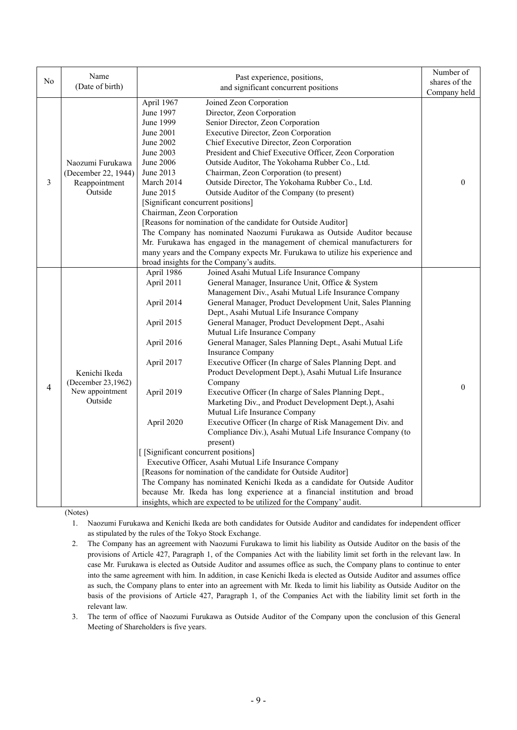|                | Name                                                                | Past experience, positions,                                                                                                                                                                                                                                                                                                                                                                                                                                                                                                                                                                                                                                                                                                                                                                                                                                                                                                                                                                                                                                                                                                                                                                                                                                                                                                                                                              |               |
|----------------|---------------------------------------------------------------------|------------------------------------------------------------------------------------------------------------------------------------------------------------------------------------------------------------------------------------------------------------------------------------------------------------------------------------------------------------------------------------------------------------------------------------------------------------------------------------------------------------------------------------------------------------------------------------------------------------------------------------------------------------------------------------------------------------------------------------------------------------------------------------------------------------------------------------------------------------------------------------------------------------------------------------------------------------------------------------------------------------------------------------------------------------------------------------------------------------------------------------------------------------------------------------------------------------------------------------------------------------------------------------------------------------------------------------------------------------------------------------------|---------------|
| N <sub>0</sub> | (Date of birth)                                                     | and significant concurrent positions                                                                                                                                                                                                                                                                                                                                                                                                                                                                                                                                                                                                                                                                                                                                                                                                                                                                                                                                                                                                                                                                                                                                                                                                                                                                                                                                                     | shares of the |
|                |                                                                     |                                                                                                                                                                                                                                                                                                                                                                                                                                                                                                                                                                                                                                                                                                                                                                                                                                                                                                                                                                                                                                                                                                                                                                                                                                                                                                                                                                                          | Company held  |
| 3              | Naozumi Furukawa<br>(December 22, 1944)<br>Reappointment<br>Outside | April 1967<br>Joined Zeon Corporation<br>Director, Zeon Corporation<br>June 1997<br>Senior Director, Zeon Corporation<br>June 1999<br>Executive Director, Zeon Corporation<br>June 2001<br>Chief Executive Director, Zeon Corporation<br>June 2002<br>President and Chief Executive Officer, Zeon Corporation<br>June 2003<br>June 2006<br>Outside Auditor, The Yokohama Rubber Co., Ltd.<br>Chairman, Zeon Corporation (to present)<br>June 2013<br>Outside Director, The Yokohama Rubber Co., Ltd.<br>March 2014<br>June 2015<br>Outside Auditor of the Company (to present)<br>[Significant concurrent positions]<br>Chairman, Zeon Corporation<br>[Reasons for nomination of the candidate for Outside Auditor]<br>The Company has nominated Naozumi Furukawa as Outside Auditor because<br>Mr. Furukawa has engaged in the management of chemical manufacturers for<br>many years and the Company expects Mr. Furukawa to utilize his experience and<br>broad insights for the Company's audits.                                                                                                                                                                                                                                                                                                                                                                                    | $\Omega$      |
| 4              | Kenichi Ikeda<br>(December 23,1962)<br>New appointment<br>Outside   | April 1986<br>Joined Asahi Mutual Life Insurance Company<br>April 2011<br>General Manager, Insurance Unit, Office & System<br>Management Div., Asahi Mutual Life Insurance Company<br>April 2014<br>General Manager, Product Development Unit, Sales Planning<br>Dept., Asahi Mutual Life Insurance Company<br>General Manager, Product Development Dept., Asahi<br>April 2015<br>Mutual Life Insurance Company<br>April 2016<br>General Manager, Sales Planning Dept., Asahi Mutual Life<br>Insurance Company<br>Executive Officer (In charge of Sales Planning Dept. and<br>April 2017<br>Product Development Dept.), Asahi Mutual Life Insurance<br>Company<br>April 2019<br>Executive Officer (In charge of Sales Planning Dept.,<br>Marketing Div., and Product Development Dept.), Asahi<br>Mutual Life Insurance Company<br>Executive Officer (In charge of Risk Management Div. and<br>April 2020<br>Compliance Div.), Asahi Mutual Life Insurance Company (to<br>present)<br>[ [Significant concurrent positions]<br>Executive Officer, Asahi Mutual Life Insurance Company<br>[Reasons for nomination of the candidate for Outside Auditor]<br>The Company has nominated Kenichi Ikeda as a candidate for Outside Auditor<br>because Mr. Ikeda has long experience at a financial institution and broad<br>insights, which are expected to be utilized for the Company' audit. | $\Omega$      |

(Notes)

1. Naozumi Furukawa and Kenichi Ikeda are both candidates for Outside Auditor and candidates for independent officer as stipulated by the rules of the Tokyo Stock Exchange.

2. The Company has an agreement with Naozumi Furukawa to limit his liability as Outside Auditor on the basis of the provisions of Article 427, Paragraph 1, of the Companies Act with the liability limit set forth in the relevant law. In case Mr. Furukawa is elected as Outside Auditor and assumes office as such, the Company plans to continue to enter into the same agreement with him. In addition, in case Kenichi Ikeda is elected as Outside Auditor and assumes office as such, the Company plans to enter into an agreement with Mr. Ikeda to limit his liability as Outside Auditor on the basis of the provisions of Article 427, Paragraph 1, of the Companies Act with the liability limit set forth in the relevant law.

3. The term of office of Naozumi Furukawa as Outside Auditor of the Company upon the conclusion of this General Meeting of Shareholders is five years.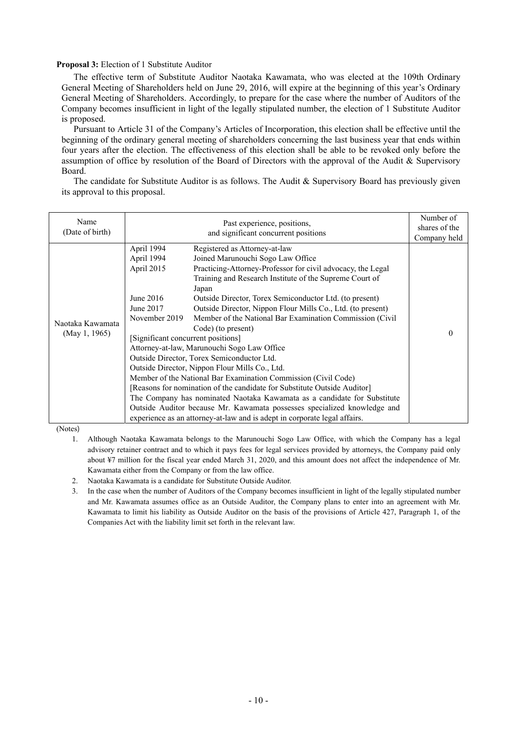#### **Proposal 3:** Election of 1 Substitute Auditor

The effective term of Substitute Auditor Naotaka Kawamata, who was elected at the 109th Ordinary General Meeting of Shareholders held on June 29, 2016, will expire at the beginning of this year's Ordinary General Meeting of Shareholders. Accordingly, to prepare for the case where the number of Auditors of the Company becomes insufficient in light of the legally stipulated number, the election of 1 Substitute Auditor is proposed.

Pursuant to Article 31 of the Company's Articles of Incorporation, this election shall be effective until the beginning of the ordinary general meeting of shareholders concerning the last business year that ends within four years after the election. The effectiveness of this election shall be able to be revoked only before the assumption of office by resolution of the Board of Directors with the approval of the Audit & Supervisory Board.

The candidate for Substitute Auditor is as follows. The Audit & Supervisory Board has previously given its approval to this proposal.

| Name<br>(Date of birth)           | Past experience, positions,<br>and significant concurrent positions                                                       |                                                                                                                                                                                                                                                                                                                                                                                                                                                                                                                                                                                                                                                                                                                                                                                                                                                                                                                                                      | Number of<br>shares of the<br>Company held |
|-----------------------------------|---------------------------------------------------------------------------------------------------------------------------|------------------------------------------------------------------------------------------------------------------------------------------------------------------------------------------------------------------------------------------------------------------------------------------------------------------------------------------------------------------------------------------------------------------------------------------------------------------------------------------------------------------------------------------------------------------------------------------------------------------------------------------------------------------------------------------------------------------------------------------------------------------------------------------------------------------------------------------------------------------------------------------------------------------------------------------------------|--------------------------------------------|
| Naotaka Kawamata<br>(May 1, 1965) | April 1994<br>April 1994<br>April 2015<br>June $2016$<br>June 2017<br>November 2019<br>[Significant concurrent positions] | Registered as Attorney-at-law<br>Joined Marunouchi Sogo Law Office<br>Practicing-Attorney-Professor for civil advocacy, the Legal<br>Training and Research Institute of the Supreme Court of<br>Japan<br>Outside Director, Torex Semiconductor Ltd. (to present)<br>Outside Director, Nippon Flour Mills Co., Ltd. (to present)<br>Member of the National Bar Examination Commission (Civil)<br>Code) (to present)<br>Attorney-at-law, Marunouchi Sogo Law Office<br>Outside Director, Torex Semiconductor Ltd.<br>Outside Director, Nippon Flour Mills Co., Ltd.<br>Member of the National Bar Examination Commission (Civil Code)<br>[Reasons for nomination of the candidate for Substitute Outside Auditor]<br>The Company has nominated Naotaka Kawamata as a candidate for Substitute<br>Outside Auditor because Mr. Kawamata possesses specialized knowledge and<br>experience as an attorney-at-law and is adept in corporate legal affairs. | 0                                          |

(Notes)

1. Although Naotaka Kawamata belongs to the Marunouchi Sogo Law Office, with which the Company has a legal advisory retainer contract and to which it pays fees for legal services provided by attorneys, the Company paid only about ¥7 million for the fiscal year ended March 31, 2020, and this amount does not affect the independence of Mr. Kawamata either from the Company or from the law office.

2. Naotaka Kawamata is a candidate for Substitute Outside Auditor.

3. In the case when the number of Auditors of the Company becomes insufficient in light of the legally stipulated number and Mr. Kawamata assumes office as an Outside Auditor, the Company plans to enter into an agreement with Mr. Kawamata to limit his liability as Outside Auditor on the basis of the provisions of Article 427, Paragraph 1, of the Companies Act with the liability limit set forth in the relevant law.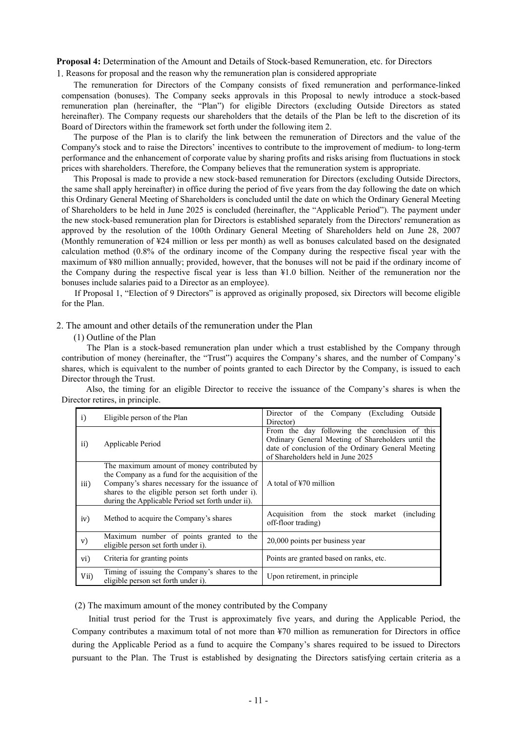**Proposal 4:** Determination of the Amount and Details of Stock-based Remuneration, etc. for Directors 1. Reasons for proposal and the reason why the remuneration plan is considered appropriate

The remuneration for Directors of the Company consists of fixed remuneration and performance-linked compensation (bonuses). The Company seeks approvals in this Proposal to newly introduce a stock-based remuneration plan (hereinafter, the "Plan") for eligible Directors (excluding Outside Directors as stated hereinafter). The Company requests our shareholders that the details of the Plan be left to the discretion of its Board of Directors within the framework set forth under the following item 2.

The purpose of the Plan is to clarify the link between the remuneration of Directors and the value of the Company's stock and to raise the Directors' incentives to contribute to the improvement of medium- to long-term performance and the enhancement of corporate value by sharing profits and risks arising from fluctuations in stock prices with shareholders. Therefore, the Company believes that the remuneration system is appropriate.

This Proposal is made to provide a new stock-based remuneration for Directors (excluding Outside Directors, the same shall apply hereinafter) in office during the period of five years from the day following the date on which this Ordinary General Meeting of Shareholders is concluded until the date on which the Ordinary General Meeting of Shareholders to be held in June 2025 is concluded (hereinafter, the "Applicable Period"). The payment under the new stock-based remuneration plan for Directors is established separately from the Directors' remuneration as approved by the resolution of the 100th Ordinary General Meeting of Shareholders held on June 28, 2007 (Monthly remuneration of ¥24 million or less per month) as well as bonuses calculated based on the designated calculation method (0.8% of the ordinary income of the Company during the respective fiscal year with the maximum of ¥80 million annually; provided, however, that the bonuses will not be paid if the ordinary income of the Company during the respective fiscal year is less than ¥1.0 billion. Neither of the remuneration nor the bonuses include salaries paid to a Director as an employee).

If Proposal 1, "Election of 9 Directors" is approved as originally proposed, six Directors will become eligible for the Plan.

#### 2. The amount and other details of the remuneration under the Plan

(1) Outline of the Plan

The Plan is a stock-based remuneration plan under which a trust established by the Company through contribution of money (hereinafter, the "Trust") acquires the Company's shares, and the number of Company's shares, which is equivalent to the number of points granted to each Director by the Company, is issued to each Director through the Trust.

Also, the timing for an eligible Director to receive the issuance of the Company's shares is when the Director retires, in principle.

| i)   | Eligible person of the Plan                                                                                                                                                                                                                                | Director of the Company (Excluding Outside<br>Director)                                                                                                                                        |
|------|------------------------------------------------------------------------------------------------------------------------------------------------------------------------------------------------------------------------------------------------------------|------------------------------------------------------------------------------------------------------------------------------------------------------------------------------------------------|
| ii)  | Applicable Period                                                                                                                                                                                                                                          | From the day following the conclusion of this<br>Ordinary General Meeting of Shareholders until the<br>date of conclusion of the Ordinary General Meeting<br>of Shareholders held in June 2025 |
| iii) | The maximum amount of money contributed by<br>the Company as a fund for the acquisition of the<br>Company's shares necessary for the issuance of<br>shares to the eligible person set forth under i).<br>during the Applicable Period set forth under ii). | A total of $\frac{1}{2}70$ million                                                                                                                                                             |
| iv)  | Method to acquire the Company's shares                                                                                                                                                                                                                     | Acquisition from the stock market (including<br>off-floor trading)                                                                                                                             |
| V)   | Maximum number of points granted to the<br>eligible person set forth under i).                                                                                                                                                                             | 20,000 points per business year                                                                                                                                                                |
| vi)  | Criteria for granting points                                                                                                                                                                                                                               | Points are granted based on ranks, etc.                                                                                                                                                        |
| Vii) | Timing of issuing the Company's shares to the<br>eligible person set forth under i).                                                                                                                                                                       | Upon retirement, in principle                                                                                                                                                                  |

(2) The maximum amount of the money contributed by the Company

Initial trust period for the Trust is approximately five years, and during the Applicable Period, the Company contributes a maximum total of not more than ¥70 million as remuneration for Directors in office during the Applicable Period as a fund to acquire the Company's shares required to be issued to Directors pursuant to the Plan. The Trust is established by designating the Directors satisfying certain criteria as a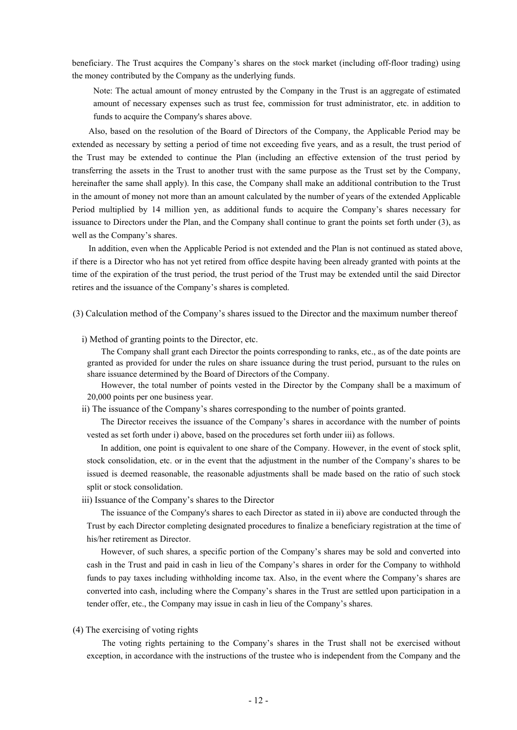beneficiary. The Trust acquires the Company's shares on the stock market (including off-floor trading) using the money contributed by the Company as the underlying funds.

Note: The actual amount of money entrusted by the Company in the Trust is an aggregate of estimated amount of necessary expenses such as trust fee, commission for trust administrator, etc. in addition to funds to acquire the Company's shares above.

Also, based on the resolution of the Board of Directors of the Company, the Applicable Period may be extended as necessary by setting a period of time not exceeding five years, and as a result, the trust period of the Trust may be extended to continue the Plan (including an effective extension of the trust period by transferring the assets in the Trust to another trust with the same purpose as the Trust set by the Company, hereinafter the same shall apply). In this case, the Company shall make an additional contribution to the Trust in the amount of money not more than an amount calculated by the number of years of the extended Applicable Period multiplied by 14 million yen, as additional funds to acquire the Company's shares necessary for issuance to Directors under the Plan, and the Company shall continue to grant the points set forth under (3), as well as the Company's shares.

In addition, even when the Applicable Period is not extended and the Plan is not continued as stated above, if there is a Director who has not yet retired from office despite having been already granted with points at the time of the expiration of the trust period, the trust period of the Trust may be extended until the said Director retires and the issuance of the Company's shares is completed.

(3) Calculation method of the Company's shares issued to the Director and the maximum number thereof

i) Method of granting points to the Director, etc.

The Company shall grant each Director the points corresponding to ranks, etc., as of the date points are granted as provided for under the rules on share issuance during the trust period, pursuant to the rules on share issuance determined by the Board of Directors of the Company.

However, the total number of points vested in the Director by the Company shall be a maximum of 20,000 points per one business year.

ii) The issuance of the Company's shares corresponding to the number of points granted.

The Director receives the issuance of the Company's shares in accordance with the number of points vested as set forth under i) above, based on the procedures set forth under iii) as follows.

In addition, one point is equivalent to one share of the Company. However, in the event of stock split, stock consolidation, etc. or in the event that the adjustment in the number of the Company's shares to be issued is deemed reasonable, the reasonable adjustments shall be made based on the ratio of such stock split or stock consolidation.

iii) Issuance of the Company's shares to the Director

The issuance of the Company's shares to each Director as stated in ii) above are conducted through the Trust by each Director completing designated procedures to finalize a beneficiary registration at the time of his/her retirement as Director.

However, of such shares, a specific portion of the Company's shares may be sold and converted into cash in the Trust and paid in cash in lieu of the Company's shares in order for the Company to withhold funds to pay taxes including withholding income tax. Also, in the event where the Company's shares are converted into cash, including where the Company's shares in the Trust are settled upon participation in a tender offer, etc., the Company may issue in cash in lieu of the Company's shares.

#### (4) The exercising of voting rights

The voting rights pertaining to the Company's shares in the Trust shall not be exercised without exception, in accordance with the instructions of the trustee who is independent from the Company and the